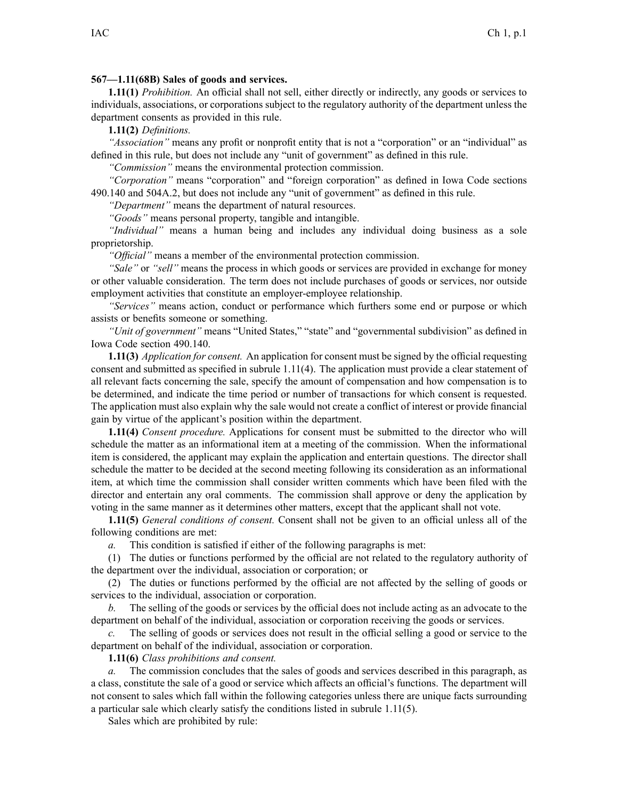## **567—1.11(68B) Sales of goods and services.**

**1.11(1)** *Prohibition.* An official shall not sell, either directly or indirectly, any goods or services to individuals, associations, or corporations subject to the regulatory authority of the department unless the department consents as provided in this rule.

**1.11(2)** *Definitions.*

*"Association"* means any profit or nonprofit entity that is not <sup>a</sup> "corporation" or an "individual" as defined in this rule, but does not include any "unit of government" as defined in this rule.

*"Commission"* means the environmental protection commission.

*"Corporation"* means "corporation" and "foreign corporation" as defined in Iowa Code sections 490.140 and 504A.2, but does not include any "unit of government" as defined in this rule.

*"Department"* means the department of natural resources.

*"Goods"* means personal property, tangible and intangible.

*"Individual"* means <sup>a</sup> human being and includes any individual doing business as <sup>a</sup> sole proprietorship.

*"Official"* means <sup>a</sup> member of the environmental protection commission.

*"Sale"* or *"sell"* means the process in which goods or services are provided in exchange for money or other valuable consideration. The term does not include purchases of goods or services, nor outside employment activities that constitute an employer-employee relationship.

*"Services"* means action, conduct or performance which furthers some end or purpose or which assists or benefits someone or something.

*"Unit of government"* means "United States," "state" and "governmental subdivision" as defined in Iowa Code section 490.140.

**1.11(3)** *Application for consent.* An application for consent must be signed by the official requesting consent and submitted as specified in subrule 1.11(4). The application must provide <sup>a</sup> clear statement of all relevant facts concerning the sale, specify the amount of compensation and how compensation is to be determined, and indicate the time period or number of transactions for which consent is requested. The application must also explain why the sale would not create <sup>a</sup> conflict of interest or provide financial gain by virtue of the applicant's position within the department.

**1.11(4)** *Consent procedure.* Applications for consent must be submitted to the director who will schedule the matter as an informational item at <sup>a</sup> meeting of the commission. When the informational item is considered, the applicant may explain the application and entertain questions. The director shall schedule the matter to be decided at the second meeting following its consideration as an informational item, at which time the commission shall consider written comments which have been filed with the director and entertain any oral comments. The commission shall approve or deny the application by voting in the same manner as it determines other matters, excep<sup>t</sup> that the applicant shall not vote.

**1.11(5)** *General conditions of consent.* Consent shall not be given to an official unless all of the following conditions are met:

*a.* This condition is satisfied if either of the following paragraphs is met:

(1) The duties or functions performed by the official are not related to the regulatory authority of the department over the individual, association or corporation; or

(2) The duties or functions performed by the official are not affected by the selling of goods or services to the individual, association or corporation.

*b.* The selling of the goods or services by the official does not include acting as an advocate to the department on behalf of the individual, association or corporation receiving the goods or services.

*c.* The selling of goods or services does not result in the official selling <sup>a</sup> good or service to the department on behalf of the individual, association or corporation.

**1.11(6)** *Class prohibitions and consent.*

*a.* The commission concludes that the sales of goods and services described in this paragraph, as <sup>a</sup> class, constitute the sale of <sup>a</sup> good or service which affects an official's functions. The department will not consent to sales which fall within the following categories unless there are unique facts surrounding <sup>a</sup> particular sale which clearly satisfy the conditions listed in subrule 1.11(5).

Sales which are prohibited by rule: